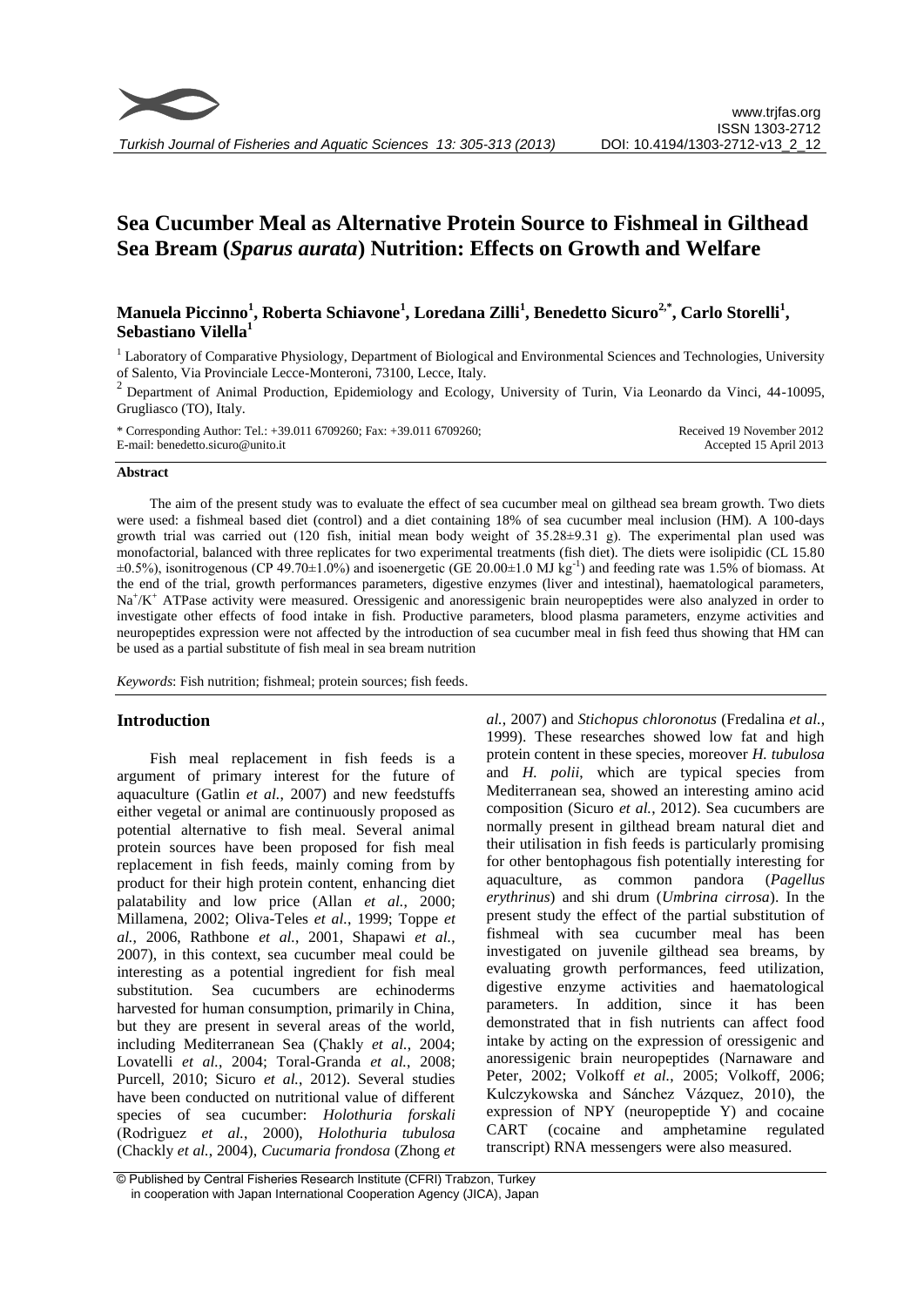# **Sea Cucumber Meal as Alternative Protein Source to Fishmeal in Gilthead Sea Bream (***Sparus aurata***) Nutrition: Effects on Growth and Welfare**

# **Manuela Piccinno<sup>1</sup> , Roberta Schiavone<sup>1</sup> , Loredana Zilli<sup>1</sup> , Benedetto Sicuro2,\* , Carlo Storelli<sup>1</sup> , Sebastiano Vilella<sup>1</sup>**

<sup>1</sup> Laboratory of Comparative Physiology, Department of Biological and Environmental Sciences and Technologies, University of Salento, Via Provinciale Lecce-Monteroni, 73100, Lecce, Italy.

 $2$  Department of Animal Production, Epidemiology and Ecology, University of Turin, Via Leonardo da Vinci, 44-10095, Grugliasco (TO), Italy.

\* Corresponding Author: Tel.: +39.011 6709260; Fax: +39.011 6709260; E-mail: benedetto.sicuro@unito.it Received 19 November 2012 Accepted 15 April 2013

#### **Abstract**

The aim of the present study was to evaluate the effect of sea cucumber meal on gilthead sea bream growth. Two diets were used: a fishmeal based diet (control) and a diet containing 18% of sea cucumber meal inclusion (HM). A 100-days growth trial was carried out (120 fish, initial mean body weight of 35.28±9.31 g). The experimental plan used was monofactorial, balanced with three replicates for two experimental treatments (fish diet). The diets were isolipidic (CL 15.80  $\pm 0.5\%$ ), isonitrogenous (CP 49.70 $\pm 1.0\%$ ) and isoenergetic (GE 20.00 $\pm 1.0$  MJ kg<sup>-1</sup>) and feeding rate was 1.5% of biomass. At the end of the trial, growth performances parameters, digestive enzymes (liver and intestinal), haematological parameters, Na<sup>+</sup>/K<sup>+</sup> ATPase activity were measured. Oressigenic and anoressigenic brain neuropeptides were also analyzed in order to investigate other effects of food intake in fish. Productive parameters, blood plasma parameters, enzyme activities and neuropeptides expression were not affected by the introduction of sea cucumber meal in fish feed thus showing that HM can be used as a partial substitute of fish meal in sea bream nutrition

*Keywords*: Fish nutrition; fishmeal; protein sources; fish feeds.

# **Introduction**

Fish meal replacement in fish feeds is a argument of primary interest for the future of aquaculture (Gatlin *et al.*, 2007) and new feedstuffs either vegetal or animal are continuously proposed as potential alternative to fish meal. Several animal protein sources have been proposed for fish meal replacement in fish feeds, mainly coming from by product for their high protein content, enhancing diet palatability and low price (Allan *et al.*, 2000; Millamena, 2002; Oliva-Teles *et al.*, 1999; Toppe *et al.*, 2006, Rathbone *et al.*, 2001, Shapawi *et al.*, 2007), in this context, sea cucumber meal could be interesting as a potential ingredient for fish meal substitution. Sea cucumbers are echinoderms harvested for human consumption, primarily in China, but they are present in several areas of the world, including Mediterranean Sea (Çhakly *et al.*, 2004; Lovatelli *et al.*, 2004; Toral-Granda *et al.*, 2008; Purcell, 2010; Sicuro *et al.*, 2012). Several studies have been conducted on nutritional value of different species of sea cucumber: *Holothuria forskali*  (Rodrìguez *et al.*, 2000), *Holothuria tubulosa* (Chackly *et al.*, 2004), *Cucumaria frondosa* (Zhong *et*  *al.*, 2007) and *Stichopus chloronotus* (Fredalina *et al.*, 1999). These researches showed low fat and high protein content in these species, moreover *H. tubulosa* and *H. polii*, which are typical species from Mediterranean sea, showed an interesting amino acid composition (Sicuro *et al.*, 2012). Sea cucumbers are normally present in gilthead bream natural diet and their utilisation in fish feeds is particularly promising for other bentophagous fish potentially interesting for aquaculture, as common pandora (*Pagellus erythrinus*) and shi drum (*Umbrina cirrosa*). In the present study the effect of the partial substitution of fishmeal with sea cucumber meal has been investigated on juvenile gilthead sea breams, by evaluating growth performances, feed utilization, digestive enzyme activities and haematological parameters. In addition, since it has been demonstrated that in fish nutrients can affect food intake by acting on the expression of oressigenic and anoressigenic brain neuropeptides (Narnaware and Peter, 2002; Volkoff *et al.*, 2005; Volkoff, 2006; Kulczykowska and Sánchez Vázquez, 2010), the expression of NPY (neuropeptide Y) and cocaine CART (cocaine and amphetamine regulated transcript) RNA messengers were also measured.

<sup>©</sup> Published by Central Fisheries Research Institute (CFRI) Trabzon, Turkey in cooperation with Japan International Cooperation Agency (JICA), Japan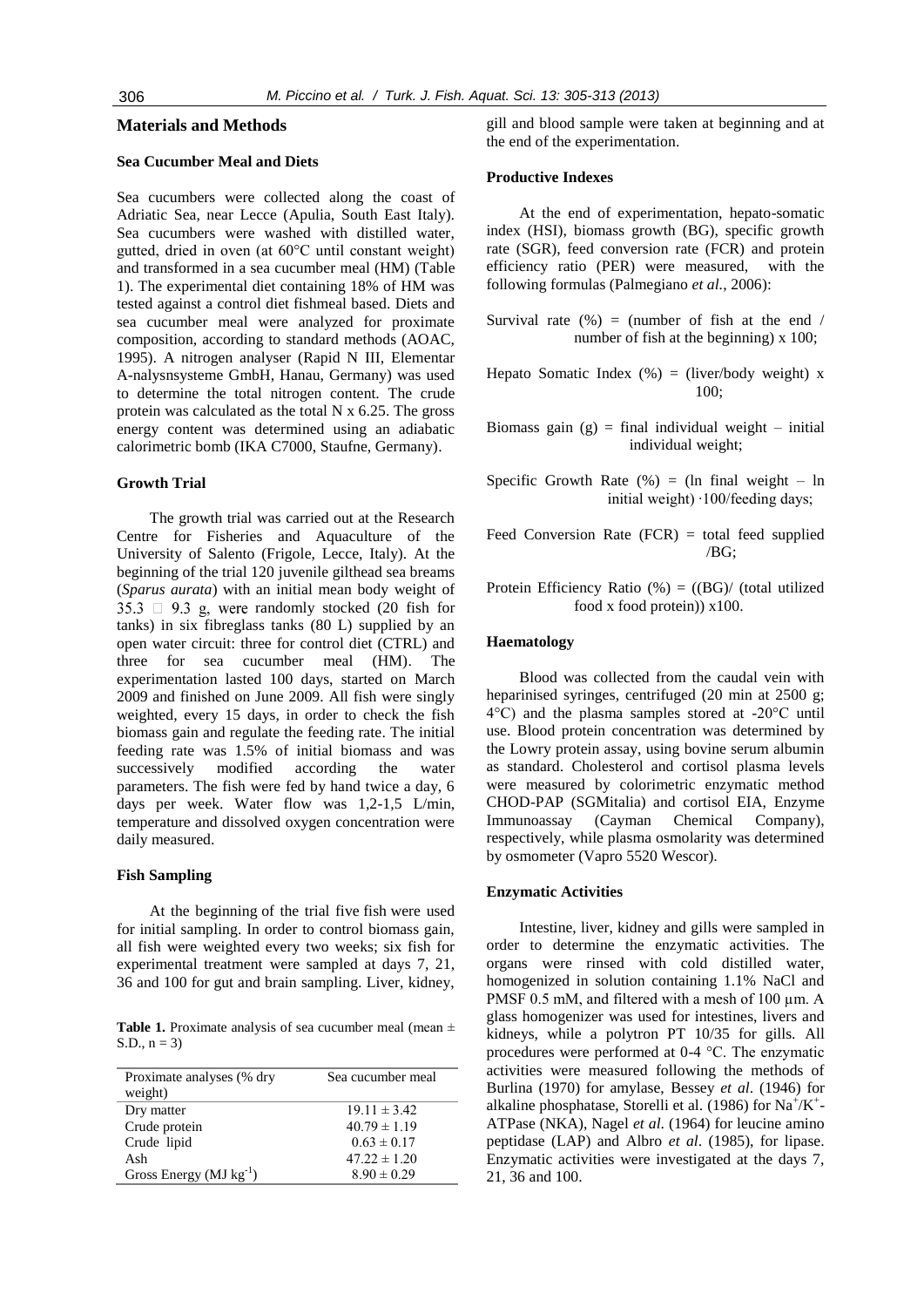#### **Materials and Methods**

# **Sea Cucumber Meal and Diets**

Sea cucumbers were collected along the coast of Adriatic Sea, near Lecce (Apulia, South East Italy). Sea cucumbers were washed with distilled water, gutted, dried in oven (at 60°C until constant weight) and transformed in a sea cucumber meal (HM) (Table 1). The experimental diet containing 18% of HM was tested against a control diet fishmeal based. Diets and sea cucumber meal were analyzed for proximate composition, according to standard methods (AOAC, 1995). A nitrogen analyser (Rapid N III, Elementar A-nalysnsysteme GmbH, Hanau, Germany) was used to determine the total nitrogen content. The crude protein was calculated as the total N x 6.25. The gross energy content was determined using an adiabatic calorimetric bomb (IKA C7000, Staufne, Germany).

## **Growth Trial**

The growth trial was carried out at the Research Centre for Fisheries and Aquaculture of the University of Salento (Frigole, Lecce, Italy). At the beginning of the trial 120 juvenile gilthead sea breams (*Sparus aurata*) with an initial mean body weight of 35.3  $\Box$  9.3 g, were randomly stocked (20 fish for tanks) in six fibreglass tanks (80 L) supplied by an open water circuit: three for control diet (CTRL) and three for sea cucumber meal (HM). The experimentation lasted 100 days, started on March 2009 and finished on June 2009. All fish were singly weighted, every 15 days, in order to check the fish biomass gain and regulate the feeding rate. The initial feeding rate was 1.5% of initial biomass and was successively modified according the water parameters. The fish were fed by hand twice a day, 6 days per week. Water flow was 1,2-1,5 L/min, temperature and dissolved oxygen concentration were daily measured.

# **Fish Sampling**

At the beginning of the trial five fish were used for initial sampling. In order to control biomass gain, all fish were weighted every two weeks; six fish for experimental treatment were sampled at days 7, 21, 36 and 100 for gut and brain sampling. Liver, kidney,

Table 1. Proximate analysis of sea cucumber meal (mean  $\pm$ S.D.,  $n = 3$ )

| Proximate analyses (% dry<br>weight) | Sea cucumber meal |
|--------------------------------------|-------------------|
| Dry matter                           | $19.11 \pm 3.42$  |
| Crude protein                        | $40.79 \pm 1.19$  |
| Crude lipid                          | $0.63 \pm 0.17$   |
| Ash                                  | $47.22 \pm 1.20$  |
| Gross Energy ( $MJ kg^{-1}$ )        | $8.90 \pm 0.29$   |

gill and blood sample were taken at beginning and at the end of the experimentation.

#### **Productive Indexes**

At the end of experimentation, hepato-somatic index (HSI), biomass growth (BG), specific growth rate (SGR), feed conversion rate (FCR) and protein efficiency ratio (PER) were measured, with the following formulas (Palmegiano *et al.*, 2006):

- Survival rate  $(\%)$  = (number of fish at the end / number of fish at the beginning) x 100;
- Hepato Somatic Index  $(\%)$  = (liver/body weight) x 100;
- Biomass gain  $(g)$  = final individual weight initial individual weight;
- Specific Growth Rate  $(\%)$  = (ln final weight ln initial weight) ∙100/feeding days;
- Feed Conversion Rate  $(FCR) =$  total feed supplied /BG;
- Protein Efficiency Ratio  $%$  = ((BG)/ (total utilized food x food protein)) x100.

# **Haematology**

Blood was collected from the caudal vein with heparinised syringes, centrifuged (20 min at 2500 g; 4°C) and the plasma samples stored at -20°C until use. Blood protein concentration was determined by the Lowry protein assay, using bovine serum albumin as standard. Cholesterol and cortisol plasma levels were measured by colorimetric enzymatic method CHOD-PAP (SGMitalia) and cortisol EIA, Enzyme Immunoassay (Cayman Chemical Company), respectively, while plasma osmolarity was determined by osmometer (Vapro 5520 Wescor).

#### **Enzymatic Activities**

Intestine, liver, kidney and gills were sampled in order to determine the enzymatic activities. The organs were rinsed with cold distilled water, homogenized in solution containing 1.1% NaCl and PMSF 0.5 mM, and filtered with a mesh of 100 µm. A glass homogenizer was used for intestines, livers and kidneys, while a polytron PT 10/35 for gills. All procedures were performed at 0-4 °C. The enzymatic activities were measured following the methods of Burlina (1970) for amylase, Bessey *et al*. (1946) for alkaline phosphatase, Storelli et al. (1986) for  $Na^+/K^+$ -ATPase (NKA), Nagel *et al*. (1964) for leucine amino peptidase (LAP) and Albro *et al*. (1985), for lipase. Enzymatic activities were investigated at the days 7, 21, 36 and 100.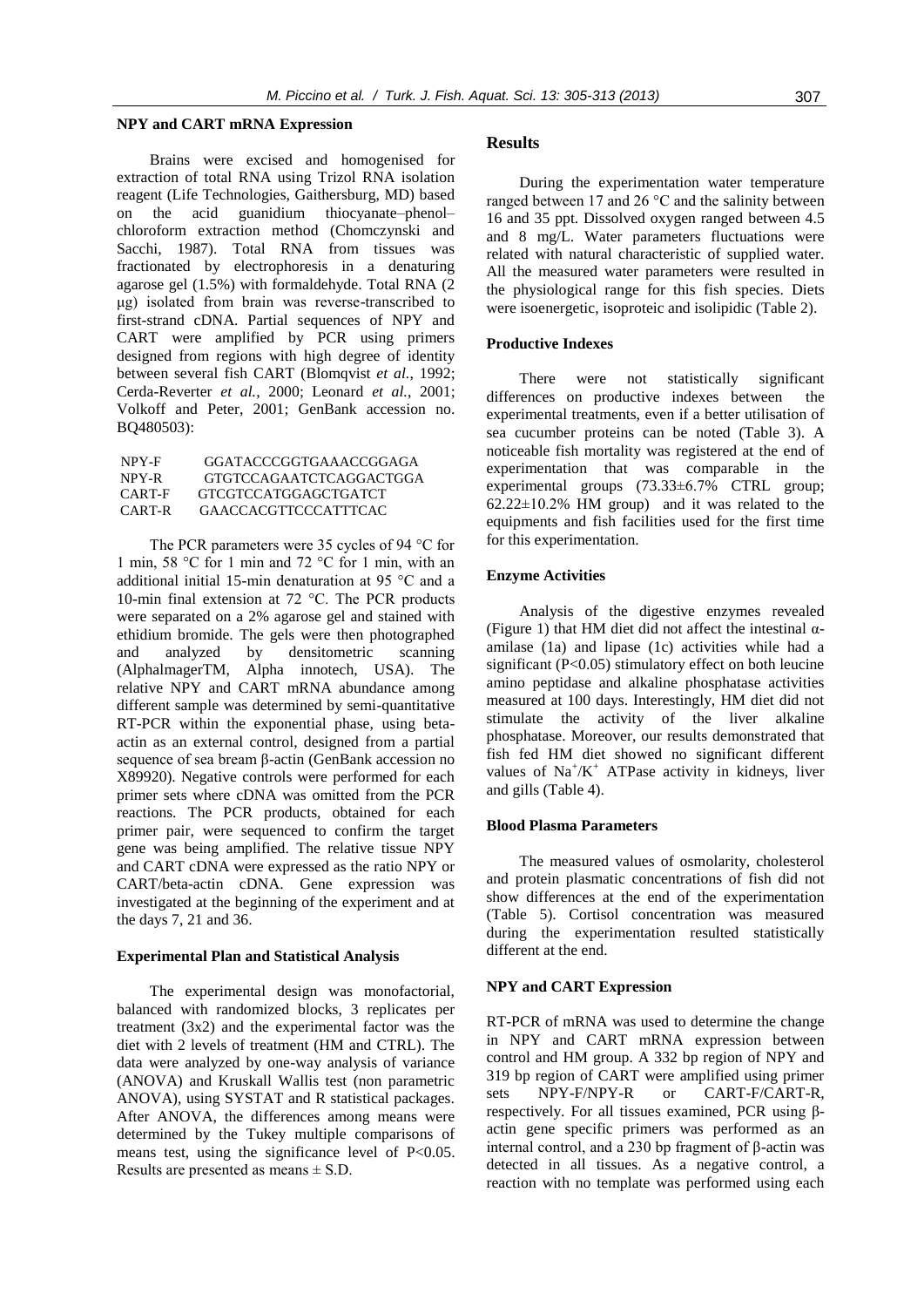#### **NPY and CART mRNA Expression**

Brains were excised and homogenised for extraction of total RNA using Trizol RNA isolation reagent (Life Technologies, Gaithersburg, MD) based on the acid guanidium thiocyanate–phenol– chloroform extraction method (Chomczynski and Sacchi, 1987). Total RNA from tissues was fractionated by electrophoresis in a denaturing agarose gel (1.5%) with formaldehyde. Total RNA (2 μg) isolated from brain was reverse-transcribed to first-strand cDNA. Partial sequences of NPY and CART were amplified by PCR using primers designed from regions with high degree of identity between several fish CART (Blomqvist *et al.*, 1992; Cerda-Reverter *et al.*, 2000; Leonard *et al.*, 2001; Volkoff and Peter, 2001; GenBank accession no. BQ480503):

| NPY-F  | GGATACCCGGTGAAACCGGAGA      |
|--------|-----------------------------|
| NPY-R  | GTGTCCAGAATCTCAGGACTGGA     |
| CART-F | GTCGTCCATGGAGCTGATCT        |
| CART-R | <b>GAACCACGTTCCCATTTCAC</b> |

The PCR parameters were 35 cycles of 94 °C for 1 min, 58 °C for 1 min and 72 °C for 1 min, with an additional initial 15-min denaturation at 95 °C and a 10-min final extension at 72 °C. The PCR products were separated on a 2% agarose gel and stained with ethidium bromide. The gels were then photographed and analyzed by densitometric scanning (AlphalmagerTM, Alpha innotech, USA). The relative NPY and CART mRNA abundance among different sample was determined by semi-quantitative RT-PCR within the exponential phase, using betaactin as an external control, designed from a partial sequence of sea bream β-actin (GenBank accession no X89920). Negative controls were performed for each primer sets where cDNA was omitted from the PCR reactions. The PCR products, obtained for each primer pair, were sequenced to confirm the target gene was being amplified. The relative tissue NPY and CART cDNA were expressed as the ratio NPY or CART/beta-actin cDNA. Gene expression was investigated at the beginning of the experiment and at the days 7, 21 and 36.

### **Experimental Plan and Statistical Analysis**

The experimental design was monofactorial, balanced with randomized blocks, 3 replicates per treatment (3x2) and the experimental factor was the diet with 2 levels of treatment (HM and CTRL). The data were analyzed by one-way analysis of variance (ANOVA) and Kruskall Wallis test (non parametric ANOVA), using SYSTAT and R statistical packages. After ANOVA, the differences among means were determined by the Tukey multiple comparisons of means test, using the significance level of P<0.05. Results are presented as means  $\pm$  S.D.

# **Results**

During the experimentation water temperature ranged between 17 and 26 °C and the salinity between 16 and 35 ppt. Dissolved oxygen ranged between 4.5 and 8 mg/L. Water parameters fluctuations were related with natural characteristic of supplied water. All the measured water parameters were resulted in the physiological range for this fish species. Diets were isoenergetic, isoproteic and isolipidic (Table 2).

#### **Productive Indexes**

There were not statistically significant differences on productive indexes between the experimental treatments, even if a better utilisation of sea cucumber proteins can be noted (Table 3). A noticeable fish mortality was registered at the end of experimentation that was comparable in the experimental groups (73.33±6.7% CTRL group;  $62.22 \pm 10.2$ % HM group) and it was related to the equipments and fish facilities used for the first time for this experimentation.

#### **Enzyme Activities**

Analysis of the digestive enzymes revealed (Figure 1) that HM diet did not affect the intestinal  $\alpha$ amilase (1a) and lipase (1c) activities while had a significant (P<0.05) stimulatory effect on both leucine amino peptidase and alkaline phosphatase activities measured at 100 days. Interestingly, HM diet did not stimulate the activity of the liver alkaline phosphatase. Moreover, our results demonstrated that fish fed HM diet showed no significant different values of  $Na^+/K^+$  ATPase activity in kidneys, liver and gills (Table 4).

#### **Blood Plasma Parameters**

The measured values of osmolarity, cholesterol and protein plasmatic concentrations of fish did not show differences at the end of the experimentation (Table 5). Cortisol concentration was measured during the experimentation resulted statistically different at the end.

#### **NPY and CART Expression**

RT-PCR of mRNA was used to determine the change in NPY and CART mRNA expression between control and HM group. A 332 bp region of NPY and 319 bp region of CART were amplified using primer sets NPY-F/NPY-R or CART-F/CART-R, respectively. For all tissues examined, PCR using βactin gene specific primers was performed as an internal control, and a 230 bp fragment of β-actin was detected in all tissues. As a negative control, a reaction with no template was performed using each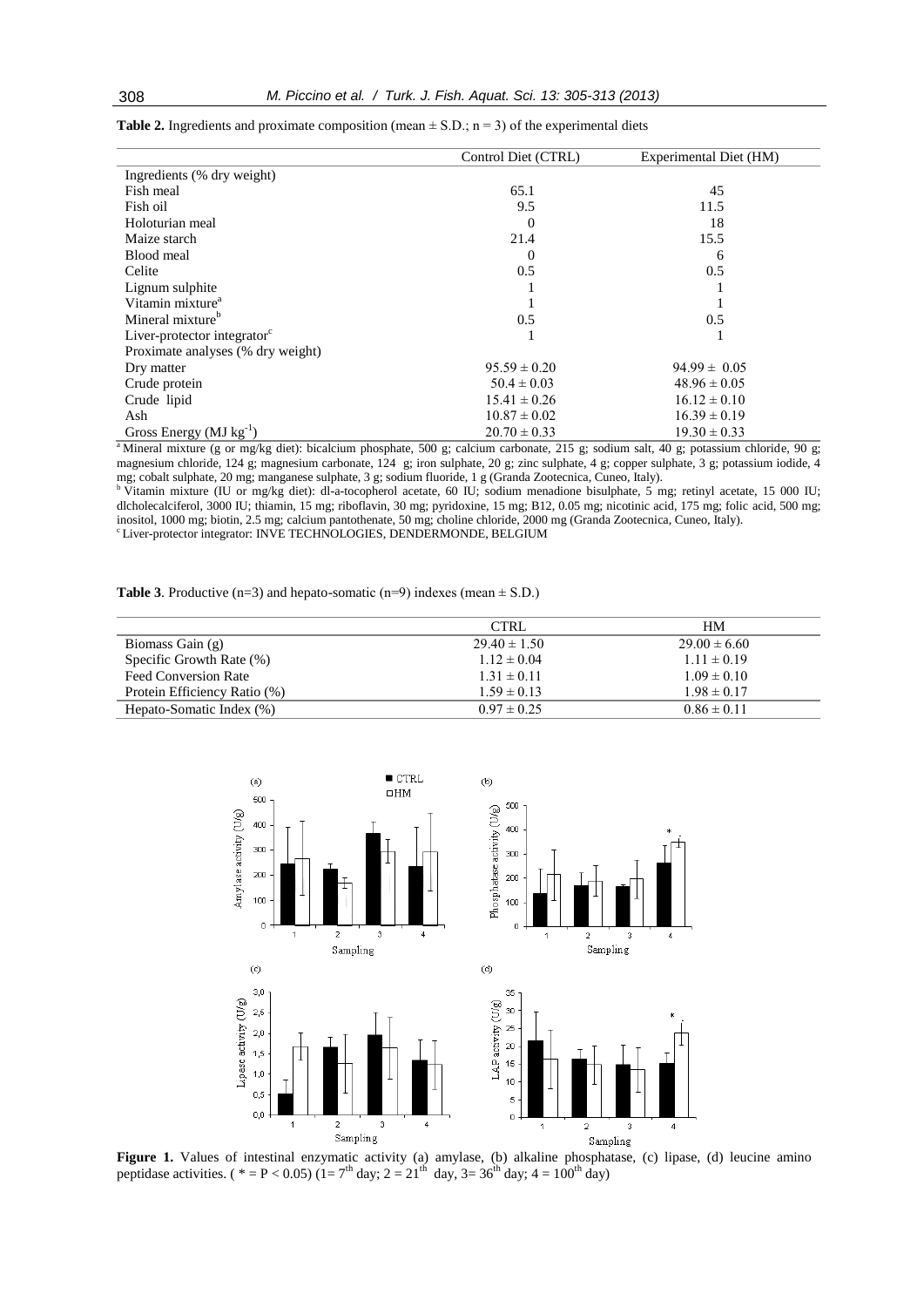|                                         | Control Diet (CTRL) | Experimental Diet (HM) |
|-----------------------------------------|---------------------|------------------------|
| Ingredients (% dry weight)              |                     |                        |
| Fish meal                               | 65.1                | 45                     |
| Fish oil                                | 9.5                 | 11.5                   |
| Holoturian meal                         | 0                   | 18                     |
| Maize starch                            | 21.4                | 15.5                   |
| Blood meal                              | 0                   | 6                      |
| Celite                                  | 0.5                 | 0.5                    |
| Lignum sulphite                         |                     |                        |
| Vitamin mixture <sup>a</sup>            |                     |                        |
| Mineral mixture <sup>b</sup>            | 0.5                 | 0.5                    |
| Liver-protector integrator <sup>c</sup> |                     |                        |
| Proximate analyses (% dry weight)       |                     |                        |
| Dry matter                              | $95.59 \pm 0.20$    | $94.99 \pm 0.05$       |
| Crude protein                           | $50.4 \pm 0.03$     | $48.96 \pm 0.05$       |
| Crude lipid                             | $15.41 \pm 0.26$    | $16.12 \pm 0.10$       |
| Ash                                     | $10.87 \pm 0.02$    | $16.39 \pm 0.19$       |
| Gross Energy ( $MJ kg^{-1}$ )           | $20.70 \pm 0.33$    | $19.30 \pm 0.33$       |

**Table 2.** Ingredients and proximate composition (mean  $\pm$  S.D.; n = 3) of the experimental diets

<sup>a</sup>Mineral mixture (g or mg/kg diet): bicalcium phosphate, 500 g; calcium carbonate, 215 g; sodium salt, 40 g; potassium chloride, 90 g; magnesium chloride, 124 g; magnesium carbonate, 124 g; iron sulphate, 20 g; zinc sulphate, 4 g; copper sulphate, 3 g; potassium iodide, 4 mg; cobalt sulphate, 20 mg; manganese sulphate, 3 g; sodium fluoride, 1 g (Granda Zootecnica, Cuneo, Italy).

<sup>b</sup> Vitamin mixture (IU or mg/kg diet): dl-a-tocopherol acetate, 60 IU; sodium menadione bisulphate, 5 mg; retinyl acetate, 15 000 IU; dlcholecalciferol, 3000 IU; thiamin, 15 mg; riboflavin, 30 mg; pyridoxine, 15 mg; B12, 0.05 mg; nicotinic acid, 175 mg; folic acid, 500 mg; inositol, 1000 mg; biotin, 2.5 mg; calcium pantothenate, 50 mg; choline chloride, 2000 mg (Granda Zootecnica, Cuneo, Italy). <sup>c</sup> Liver-protector integrator: INVE TECHNOLOGIES, DENDERMONDE, BELGIUM

**Table 3**. Productive  $(n=3)$  and hepato-somatic  $(n=9)$  indexes (mean  $\pm$  S.D.)

|                              | <b>CTRL</b>      | <b>HM</b>        |
|------------------------------|------------------|------------------|
| Biomass Gain (g)             | $29.40 \pm 1.50$ | $29.00 \pm 6.60$ |
| Specific Growth Rate (%)     | $1.12 \pm 0.04$  | $1.11 \pm 0.19$  |
| Feed Conversion Rate         | $1.31 \pm 0.11$  | $1.09 \pm 0.10$  |
| Protein Efficiency Ratio (%) | $1.59 \pm 0.13$  | $1.98 \pm 0.17$  |
| Hepato-Somatic Index (%)     | $0.97 \pm 0.25$  | $0.86 \pm 0.11$  |



Figure 1. Values of intestinal enzymatic activity (a) amylase, (b) alkaline phosphatase, (c) lipase, (d) leucine amino peptidase activities. (\* = P < 0.05) (1= 7<sup>th</sup> day; 2 = 21<sup>th</sup> day, 3= 36<sup>th</sup> day; 4 = 100<sup>th</sup> day)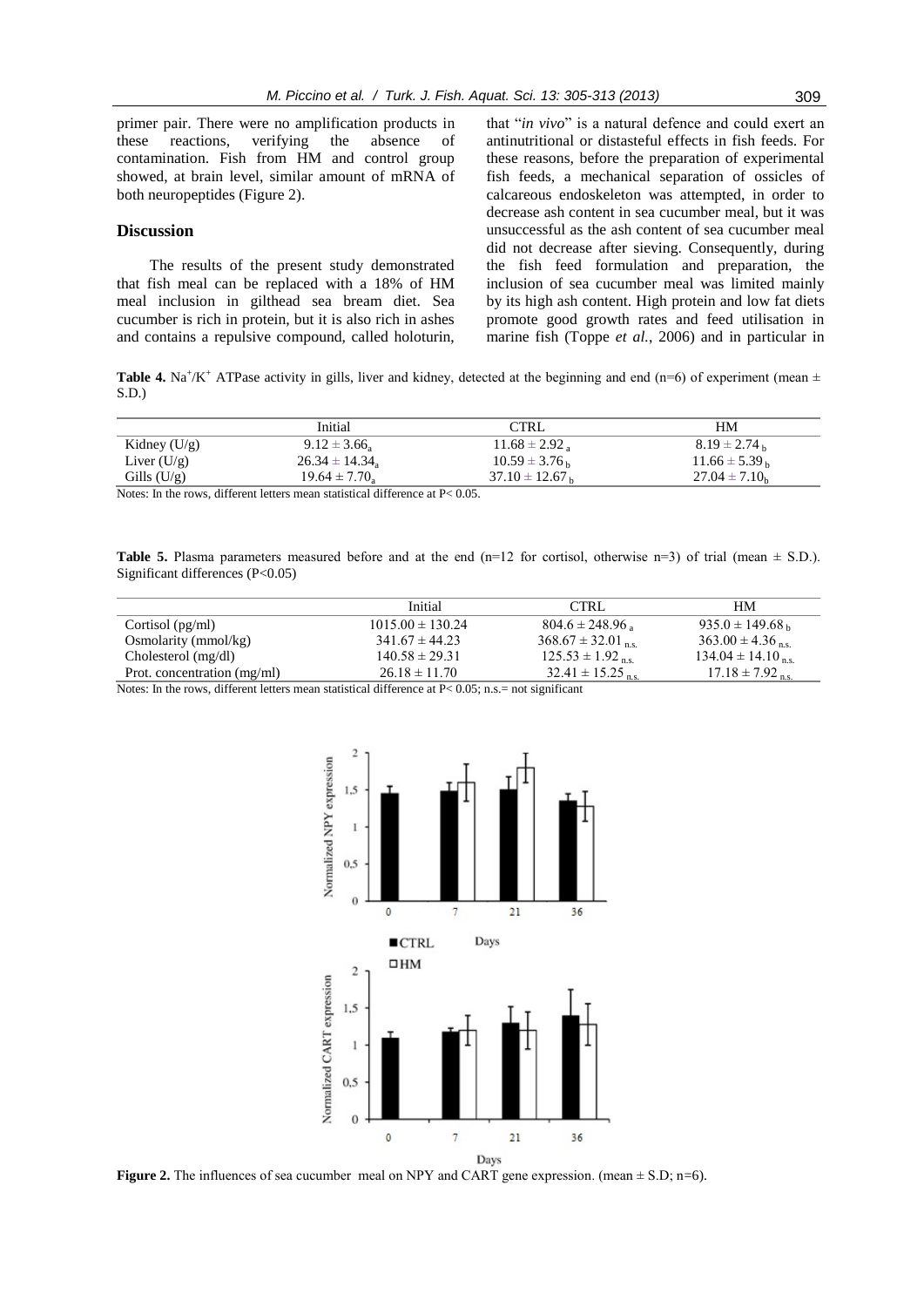primer pair. There were no amplification products in these reactions, verifying the absence of contamination. Fish from HM and control group showed, at brain level, similar amount of mRNA of both neuropeptides (Figure 2).

## **Discussion**

The results of the present study demonstrated that fish meal can be replaced with a 18% of HM meal inclusion in gilthead sea bream diet. Sea cucumber is rich in protein, but it is also rich in ashes and contains a repulsive compound, called holoturin,

that "*in vivo*" is a natural defence and could exert an antinutritional or distasteful effects in fish feeds. For these reasons, before the preparation of experimental fish feeds, a mechanical separation of ossicles of calcareous endoskeleton was attempted, in order to decrease ash content in sea cucumber meal, but it was unsuccessful as the ash content of sea cucumber meal did not decrease after sieving. Consequently, during the fish feed formulation and preparation, the inclusion of sea cucumber meal was limited mainly by its high ash content. High protein and low fat diets promote good growth rates and feed utilisation in marine fish (Toppe *et al.*, 2006) and in particular in

**Table 4.** Na<sup>+</sup>/K<sup>+</sup> ATPase activity in gills, liver and kidney, detected at the beginning and end (n=6) of experiment (mean  $\pm$ S.D.)

|                | Initial                   | $\rm{TRL}$          | HМ                 |
|----------------|---------------------------|---------------------|--------------------|
| Kidney $(U/g)$ | $9.12 \pm 3.66$           | $11.68 \pm 2.92$    | $8.19 \pm 2.74$ b  |
| Liver $(U/g)$  | $26.34 \pm 14.34_{\rm a}$ | $10.59 \pm 3.76$ b  | $11.66 \pm 5.39$ b |
| Gills $(U/g)$  | $19.64 \pm 7.70$          | $37.10 \pm 12.67$ b | $27.04 \pm 7.10_h$ |

Notes: In the rows, different letters mean statistical difference at P< 0.05.

**Table 5.** Plasma parameters measured before and at the end  $(n=12 \text{ for cortisol, otherwise } n=3)$  of trial (mean  $\pm$  S.D.). Significant differences (P<0.05)

| Initial              | CTRL                            | HМ                               |
|----------------------|---------------------------------|----------------------------------|
| $1015.00 \pm 130.24$ | $804.6 \pm 248.96$              | $935.0 \pm 149.68$ <sub>b</sub>  |
| $341.67 \pm 44.23$   | $368.67 \pm 32.01$ ns.          | $363.00 \pm 4.36$ <sub>ns</sub>  |
| $140.58 \pm 29.31$   | $125.53 \pm 1.92$ <sub>ns</sub> | $134.04 \pm 14.10$ <sub>ns</sub> |
| $26.18 \pm 11.70$    | $32.41 \pm 15.25$ ns            | $17.18 \pm 7.92$ <sub>ns</sub>   |
|                      |                                 |                                  |

Notes: In the rows, different letters mean statistical difference at  $P < 0.05$ ; n.s. = not significant



**Figure 2.** The influences of sea cucumber meal on NPY and CART gene expression. (mean  $\pm$  S.D; n=6).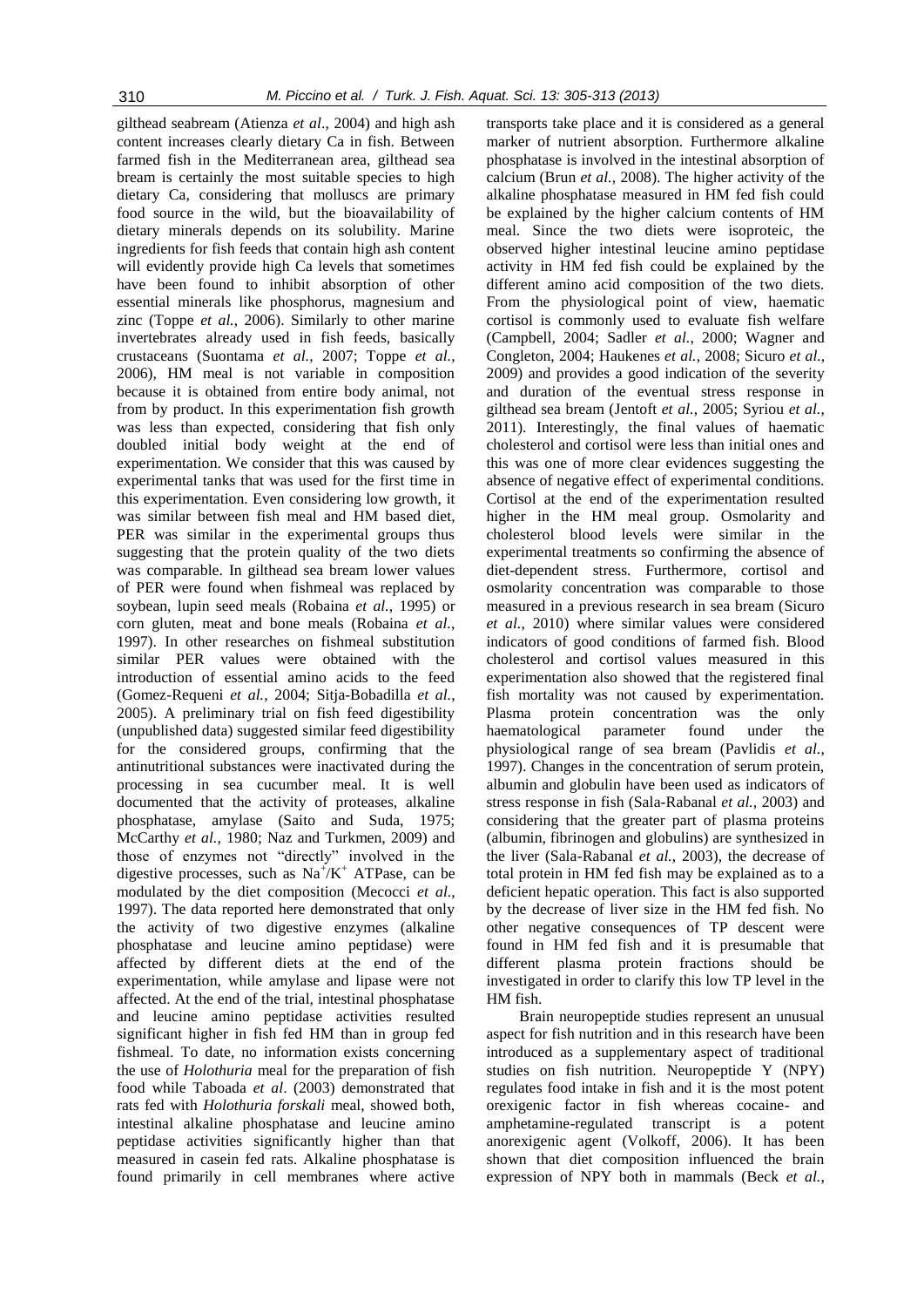gilthead seabream (Atienza *et al*., 2004) and high ash content increases clearly dietary Ca in fish. Between farmed fish in the Mediterranean area, gilthead sea bream is certainly the most suitable species to high dietary Ca, considering that molluscs are primary food source in the wild, but the bioavailability of dietary minerals depends on its solubility. Marine ingredients for fish feeds that contain high ash content will evidently provide high Ca levels that sometimes have been found to inhibit absorption of other essential minerals like phosphorus, magnesium and zinc (Toppe *et al.*, 2006). Similarly to other marine invertebrates already used in fish feeds, basically crustaceans (Suontama *et al.*, 2007; Toppe *et al.*, 2006), HM meal is not variable in composition because it is obtained from entire body animal, not from by product. In this experimentation fish growth was less than expected, considering that fish only doubled initial body weight at the end of experimentation. We consider that this was caused by experimental tanks that was used for the first time in this experimentation. Even considering low growth, it was similar between fish meal and HM based diet, PER was similar in the experimental groups thus suggesting that the protein quality of the two diets was comparable. In gilthead sea bream lower values of PER were found when fishmeal was replaced by soybean, lupin seed meals (Robaina *et al.*, 1995) or corn gluten, meat and bone meals (Robaina *et al.*, 1997). In other researches on fishmeal substitution similar PER values were obtained with the introduction of essential amino acids to the feed (Gomez-Requeni *et al.*, 2004; Sitja-Bobadilla *et al.*, 2005). A preliminary trial on fish feed digestibility (unpublished data) suggested similar feed digestibility for the considered groups, confirming that the antinutritional substances were inactivated during the processing in sea cucumber meal. It is well documented that the activity of proteases, alkaline phosphatase, amylase (Saito and Suda, 1975; McCarthy *et al.*, 1980; Naz and Turkmen, 2009) and those of enzymes not "directly" involved in the digestive processes, such as  $Na^{+}/K^{+}$  ATPase, can be modulated by the diet composition (Mecocci *et al.*, 1997). The data reported here demonstrated that only the activity of two digestive enzymes (alkaline phosphatase and leucine amino peptidase) were affected by different diets at the end of the experimentation, while amylase and lipase were not affected. At the end of the trial, intestinal phosphatase and leucine amino peptidase activities resulted significant higher in fish fed HM than in group fed fishmeal. To date, no information exists concerning the use of *Holothuria* meal for the preparation of fish food while Taboada *et al*. (2003) demonstrated that rats fed with *Holothuria forskali* meal, showed both, intestinal alkaline phosphatase and leucine amino peptidase activities significantly higher than that measured in casein fed rats. Alkaline phosphatase is found primarily in cell membranes where active

transports take place and it is considered as a general marker of nutrient absorption. Furthermore alkaline phosphatase is involved in the intestinal absorption of calcium (Brun *et al.*, 2008). The higher activity of the alkaline phosphatase measured in HM fed fish could be explained by the higher calcium contents of HM meal. Since the two diets were isoproteic, the observed higher intestinal leucine amino peptidase activity in HM fed fish could be explained by the different amino acid composition of the two diets. From the physiological point of view, haematic cortisol is commonly used to evaluate fish welfare (Campbell, 2004; Sadler *et al.*, 2000; Wagner and Congleton, 2004; Haukenes *et al.*, 2008; Sicuro *et al.*, 2009) and provides a good indication of the severity and duration of the eventual stress response in gilthead sea bream (Jentoft *et al.*, 2005; Syriou *et al.*, 2011). Interestingly, the final values of haematic cholesterol and cortisol were less than initial ones and this was one of more clear evidences suggesting the absence of negative effect of experimental conditions. Cortisol at the end of the experimentation resulted higher in the HM meal group. Osmolarity and cholesterol blood levels were similar in the experimental treatments so confirming the absence of diet-dependent stress. Furthermore, cortisol and osmolarity concentration was comparable to those measured in a previous research in sea bream (Sicuro *et al.*, 2010) where similar values were considered indicators of good conditions of farmed fish. Blood cholesterol and cortisol values measured in this experimentation also showed that the registered final fish mortality was not caused by experimentation. Plasma protein concentration was the only haematological parameter found under the physiological range of sea bream (Pavlidis *et al.*, 1997). Changes in the concentration of serum protein, albumin and globulin have been used as indicators of stress response in fish (Sala-Rabanal *et al.*, 2003) and considering that the greater part of plasma proteins (albumin, fibrinogen and globulins) are synthesized in the liver (Sala-Rabanal *et al.*, 2003), the decrease of total protein in HM fed fish may be explained as to a deficient hepatic operation. This fact is also supported by the decrease of liver size in the HM fed fish. No other negative consequences of TP descent were found in HM fed fish and it is presumable that different plasma protein fractions should be investigated in order to clarify this low TP level in the HM fish.

Brain neuropeptide studies represent an unusual aspect for fish nutrition and in this research have been introduced as a supplementary aspect of traditional studies on fish nutrition. Neuropeptide Y (NPY) regulates food intake in fish and it is the most potent orexigenic factor in fish whereas cocaine- and amphetamine-regulated transcript is a potent anorexigenic agent (Volkoff, 2006). It has been shown that diet composition influenced the brain expression of NPY both in mammals (Beck *et al.*,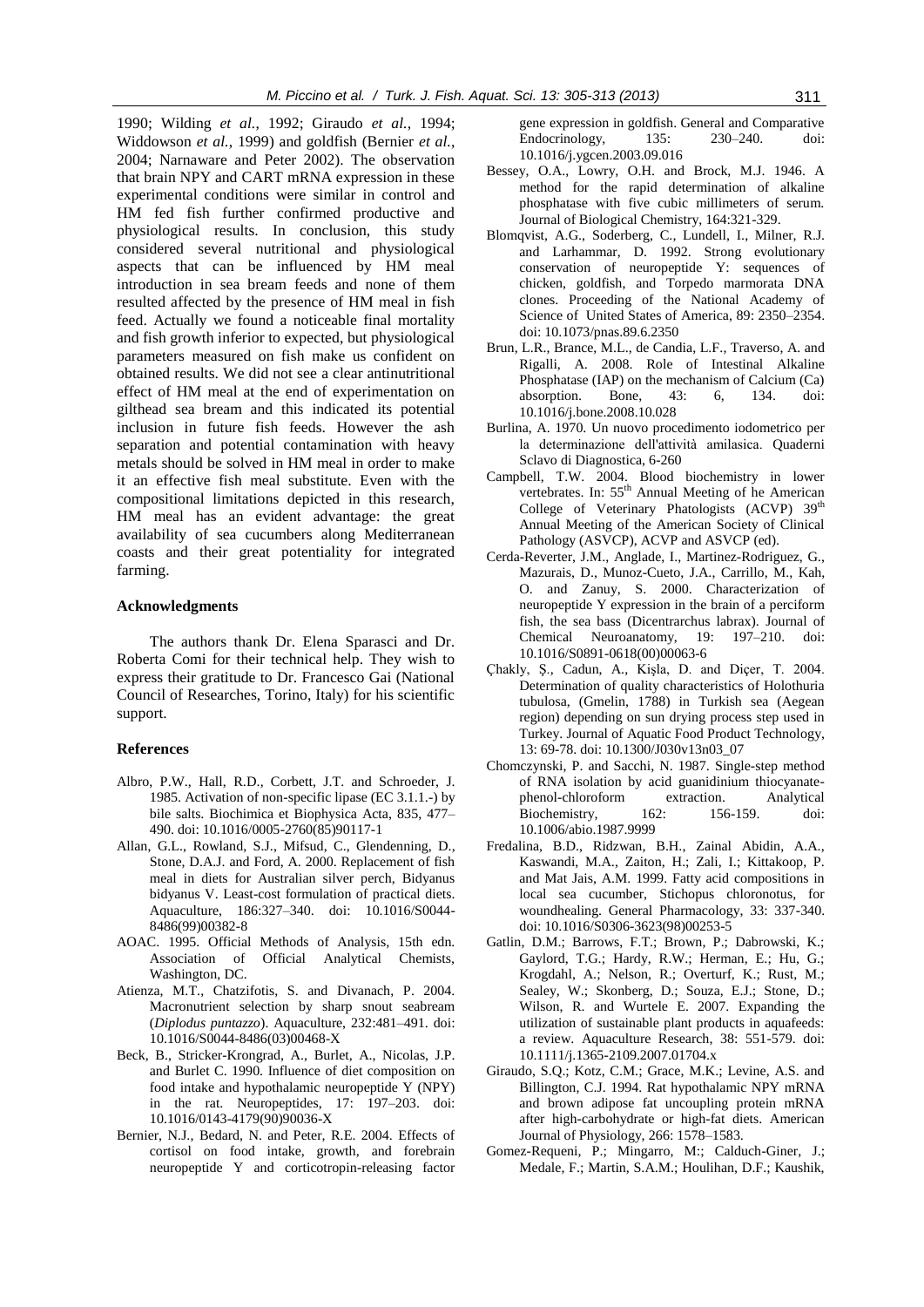1990; Wilding *et al.*, 1992; Giraudo *et al.*, 1994; Widdowson *et al.*, 1999) and goldfish (Bernier *et al.*, 2004; Narnaware and Peter 2002). The observation that brain NPY and CART mRNA expression in these experimental conditions were similar in control and HM fed fish further confirmed productive and physiological results. In conclusion, this study considered several nutritional and physiological aspects that can be influenced by HM meal introduction in sea bream feeds and none of them resulted affected by the presence of HM meal in fish feed. Actually we found a noticeable final mortality and fish growth inferior to expected, but physiological parameters measured on fish make us confident on obtained results. We did not see a clear antinutritional effect of HM meal at the end of experimentation on gilthead sea bream and this indicated its potential inclusion in future fish feeds. However the ash separation and potential contamination with heavy metals should be solved in HM meal in order to make it an effective fish meal substitute. Even with the compositional limitations depicted in this research, HM meal has an evident advantage: the great availability of sea cucumbers along Mediterranean coasts and their great potentiality for integrated farming.

# **Acknowledgments**

The authors thank Dr. Elena Sparasci and Dr. Roberta Comi for their technical help. They wish to express their gratitude to Dr. Francesco Gai (National Council of Researches, Torino, Italy) for his scientific support.

#### **References**

- Albro, P.W., Hall, R.D., Corbett, J.T. and Schroeder, J. 1985. Activation of non-specific lipase (EC 3.1.1.-) by bile salts. Biochimica et Biophysica Acta, 835, 477– 490. doi: 10.1016/0005-2760(85)90117-1
- Allan, G.L., Rowland, S.J., Mifsud, C., Glendenning, D., Stone, D.A.J. and Ford, A. 2000. Replacement of fish meal in diets for Australian silver perch, Bidyanus bidyanus V. Least-cost formulation of practical diets. Aquaculture, 186:327–340. doi: 10.1016/S0044- 8486(99)00382-8
- AOAC. 1995. Official Methods of Analysis, 15th edn. Association of Official Analytical Chemists, Washington, DC.
- Atienza, M.T., Chatzifotis, S. and Divanach, P. 2004. Macronutrient selection by sharp snout seabream (*Diplodus puntazzo*). Aquaculture, 232:481–491. doi: 10.1016/S0044-8486(03)00468-X
- Beck, B., Stricker-Krongrad, A., Burlet, A., Nicolas, J.P. and Burlet C. 1990. Influence of diet composition on food intake and hypothalamic neuropeptide Y (NPY) in the rat. Neuropeptides, 17: 197–203. doi: 10.1016/0143-4179(90)90036-X
- Bernier, N.J., Bedard, N. and Peter, R.E. 2004. Effects of cortisol on food intake, growth, and forebrain neuropeptide Y and corticotropin-releasing factor

gene expression in goldfish. General and Comparative Endocrinology, 135: 230–240. doi: 10.1016/j.ygcen.2003.09.016

- Bessey, O.A., Lowry, O.H. and Brock, M.J. 1946. A method for the rapid determination of alkaline phosphatase with five cubic millimeters of serum. Journal of Biological Chemistry, 164:321-329.
- Blomqvist, A.G., Soderberg, C., Lundell, I., Milner, R.J. and Larhammar, D. 1992. Strong evolutionary conservation of neuropeptide Y: sequences of chicken, goldfish, and Torpedo marmorata DNA clones. Proceeding of the National Academy of Science of United States of America, 89: 2350–2354. doi: 10.1073/pnas.89.6.2350
- Brun, L.R., Brance, M.L., de Candia, L.F., Traverso, A. and Rigalli, A. 2008. Role of Intestinal Alkaline Phosphatase (IAP) on the mechanism of Calcium (Ca) absorption. Bone, 43: 6, 134. doi: 10.1016/j.bone.2008.10.028
- Burlina, A. 1970. Un nuovo procedimento iodometrico per la determinazione dell'attività amilasica. Quaderni Sclavo di Diagnostica, 6-260
- Campbell, T.W. 2004. Blood biochemistry in lower vertebrates. In: 55<sup>th</sup> Annual Meeting of he American College of Veterinary Phatologists (ACVP) 39<sup>th</sup> Annual Meeting of the American Society of Clinical Pathology (ASVCP), ACVP and ASVCP (ed).
- Cerda-Reverter, J.M., Anglade, I., Martinez-Rodriguez, G., Mazurais, D., Munoz-Cueto, J.A., Carrillo, M., Kah, O. and Zanuy, S. 2000. Characterization of neuropeptide Y expression in the brain of a perciform fish, the sea bass (Dicentrarchus labrax). [Journal of](http://www.google.it/url?sa=t&rct=j&q=j%20chem%20neuroanat%20&source=web&cd=1&ved=0CCAQFjAA&url=http%3A%2F%2Fwww.journals.elsevier.com%2Fjournal-of-chemical-neuroanatomy%2F&ei=NGNLT8bYJomBOuWSxYwO&usg=AFQjCNHpszogCVxcOEV9nRsstTzx-LNX-A)  [Chemical Neuroanatomy, 1](http://www.google.it/url?sa=t&rct=j&q=j%20chem%20neuroanat%20&source=web&cd=1&ved=0CCAQFjAA&url=http%3A%2F%2Fwww.journals.elsevier.com%2Fjournal-of-chemical-neuroanatomy%2F&ei=NGNLT8bYJomBOuWSxYwO&usg=AFQjCNHpszogCVxcOEV9nRsstTzx-LNX-A)9: 197–210. doi: 10.1016/S0891-0618(00)00063-6
- Çhakly, Ş., Cadun, A., Kişla, D. and Diçer, T. 2004. Determination of quality characteristics of Holothuria tubulosa, (Gmelin, 1788) in Turkish sea (Aegean region) depending on sun drying process step used in Turkey. Journal of Aquatic Food Product Technology, 13: 69-78. doi: 10.1300/J030v13n03\_07
- Chomczynski, P. and Sacchi, N. 1987. Single-step method of RNA isolation by acid guanidinium thiocyanatephenol-chloroform extraction. Analytical Biochemistry, 162: 156-159. doi: 10.1006/abio.1987.9999
- Fredalina, B.D., Ridzwan, B.H., Zainal Abidin, A.A., Kaswandi, M.A., Zaiton, H.; Zali, I.; Kittakoop, P. and Mat Jais, A.M. 1999. Fatty acid compositions in local sea cucumber, Stichopus chloronotus, for woundhealing. General Pharmacology, 33: 337-340. doi: 10.1016/S0306-3623(98)00253-5
- Gatlin, D.M.; Barrows, F.T.; Brown, P.; Dabrowski, K.; Gaylord, T.G.; Hardy, R.W.; Herman, E.; Hu, G.; Krogdahl, A.; Nelson, R.; Overturf, K.; Rust, M.; Sealey, W.; Skonberg, D.; Souza, E.J.; Stone, D.; Wilson, R. and Wurtele E. 2007. Expanding the utilization of sustainable plant products in aquafeeds: a review. Aquaculture Research, 38: 551-579. doi: 10.1111/j.1365-2109.2007.01704.x
- Giraudo, S.Q.; Kotz, C.M.; Grace, M.K.; Levine, A.S. and Billington, C.J. 1994. Rat hypothalamic NPY mRNA and brown adipose fat uncoupling protein mRNA after high-carbohydrate or high-fat diets. American Journal of Physiology, 266: 1578–1583.
- Gomez-Requeni, P.; Mingarro, M:; Calduch-Giner, J.; Medale, F.; Martin, S.A.M.; Houlihan, D.F.; Kaushik,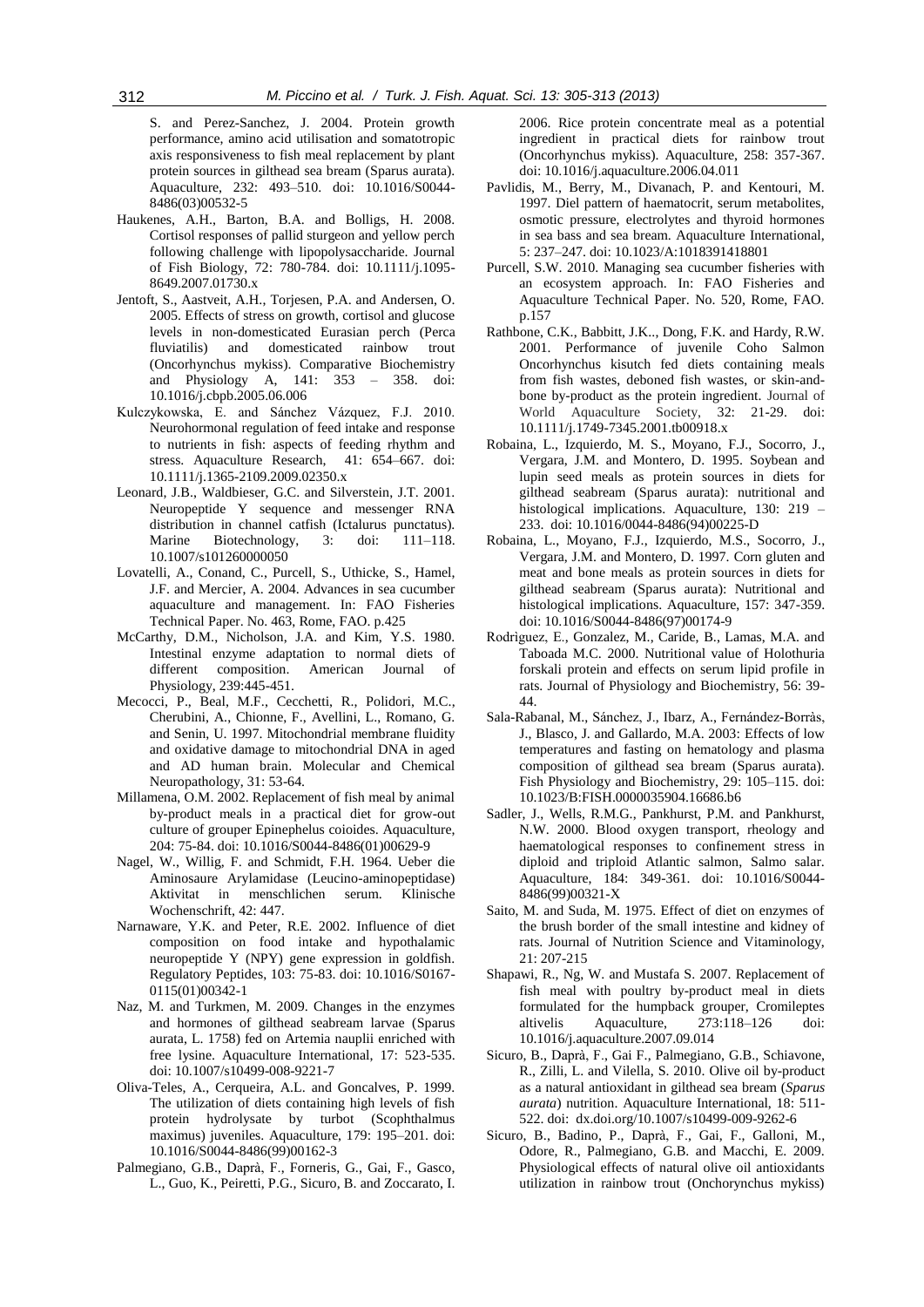S. and Perez-Sanchez, J. 2004. Protein growth performance, amino acid utilisation and somatotropic axis responsiveness to fish meal replacement by plant protein sources in gilthead sea bream (Sparus aurata). Aquaculture, 232: 493–510. doi: 10.1016/S0044- 8486(03)00532-5

- Haukenes, A.H., Barton, B.A. and Bolligs, H. 2008. Cortisol responses of pallid sturgeon and yellow perch following challenge with lipopolysaccharide. Journal of Fish Biology, 72: 780-784. doi: 10.1111/j.1095- 8649.2007.01730.x
- Jentoft, S., Aastveit, A.H., Torjesen, P.A. and Andersen, O. 2005. Effects of stress on growth, cortisol and glucose levels in non-domesticated Eurasian perch (Perca fluviatilis) and domesticated rainbow trout (Oncorhynchus mykiss). Comparative Biochemistry and Physiology A, 141: 353 – 358. doi: 10.1016/j.cbpb.2005.06.006
- Kulczykowska, E. and Sánchez Vázquez, F.J. 2010. Neurohormonal regulation of feed intake and response to nutrients in fish: aspects of feeding rhythm and stress. Aquaculture Research, 41: 654–667. doi: 10.1111/j.1365-2109.2009.02350.x
- Leonard, J.B., Waldbieser, G.C. and Silverstein, J.T. 2001. Neuropeptide Y sequence and messenger RNA distribution in channel catfish (Ictalurus punctatus). Marine Biotechnology, 3: doi: 111-118. 10.1007/s101260000050
- Lovatelli, A., Conand, C., Purcell, S., Uthicke, S., Hamel, J.F. and Mercier, A. 2004. Advances in sea cucumber aquaculture and management. In: FAO Fisheries Technical Paper. No. 463, Rome, FAO. p.425
- McCarthy, D.M., Nicholson, J.A. and Kim, Y.S. 1980. Intestinal enzyme adaptation to normal diets of different composition. American Journal of Physiology, 239:445-451.
- Mecocci, P., Beal, M.F., Cecchetti, R., Polidori, M.C., Cherubini, A., Chionne, F., Avellini, L., Romano, G. and Senin, U. 1997. Mitochondrial membrane fluidity and oxidative damage to mitochondrial DNA in aged and AD human brain. Molecular and Chemical Neuropathology, 31: 53-64.
- Millamena, O.M. 2002. Replacement of fish meal by animal by-product meals in a practical diet for grow-out culture of grouper Epinephelus coioides. Aquaculture, 204: 75-84. doi: 10.1016/S0044-8486(01)00629-9
- Nagel, W., Willig, F. and Schmidt, F.H. 1964. Ueber die Aminosaure Arylamidase (Leucino-aminopeptidase) Aktivitat in menschlichen serum. Klinische Wochenschrift, 42: 447.
- Narnaware, Y.K. and Peter, R.E. 2002. Influence of diet composition on food intake and hypothalamic neuropeptide Y (NPY) gene expression in goldfish. Regulatory Peptides, 103: 75-83. doi: 10.1016/S0167- 0115(01)00342-1
- Naz, M. and Turkmen, M. 2009. Changes in the enzymes and hormones of gilthead seabream larvae (Sparus aurata, L. 1758) fed on Artemia nauplii enriched with free lysine. Aquaculture International, 17: 523-535. doi: 10.1007/s10499-008-9221-7
- Oliva-Teles, A., Cerqueira, A.L. and Goncalves, P. 1999. The utilization of diets containing high levels of fish protein hydrolysate by turbot (Scophthalmus maximus) juveniles. Aquaculture, 179: 195–201. doi: 10.1016/S0044-8486(99)00162-3
- Palmegiano, G.B., Daprà, F., Forneris, G., Gai, F., Gasco, L., Guo, K., Peiretti, P.G., Sicuro, B. and Zoccarato, I.

2006. Rice protein concentrate meal as a potential ingredient in practical diets for rainbow trout (Oncorhynchus mykiss). Aquaculture, 258: 357-367. doi: 10.1016/j.aquaculture.2006.04.011

- Pavlidis, M., Berry, M., Divanach, P. and Kentouri, M. 1997. Diel pattern of haematocrit, serum metabolites, osmotic pressure, electrolytes and thyroid hormones in sea bass and sea bream. Aquaculture International, 5: 237–247. doi: 10.1023/A:1018391418801
- Purcell, S.W. 2010. Managing sea cucumber fisheries with an ecosystem approach. In: FAO Fisheries and Aquaculture Technical Paper. No. 520, Rome, FAO. p.157
- Rathbone, C.K., Babbitt, J.K.., Dong, F.K. and Hardy, R.W. 2001. Performance of juvenile Coho Salmon Oncorhynchus kisutch fed diets containing meals from fish wastes, deboned fish wastes, or skin-andbone by-product as the protein ingredient. Journal of World Aquaculture Society, 32: 21-29. doi: 10.1111/j.1749-7345.2001.tb00918.x
- Robaina, L., Izquierdo, M. S., Moyano, F.J., Socorro, J., Vergara, J.M. and Montero, D. 1995. Soybean and lupin seed meals as protein sources in diets for gilthead seabream (Sparus aurata): nutritional and histological implications. Aquaculture, 130: 219 – 233. doi: 10.1016/0044-8486(94)00225-D
- Robaina, L., Moyano, F.J., Izquierdo, M.S., Socorro, J., Vergara, J.M. and Montero, D. 1997. Corn gluten and meat and bone meals as protein sources in diets for gilthead seabream (Sparus aurata): Nutritional and histological implications. Aquaculture, 157: 347-359. doi: 10.1016/S0044-8486(97)00174-9
- Rodrìguez, E., Gonzalez, M., Caride, B., Lamas, M.A. and Taboada M.C. 2000. Nutritional value of Holothuria forskali protein and effects on serum lipid profile in rats. Journal of Physiology and Biochemistry, 56: 39- 44.
- Sala-Rabanal, M., Sánchez, J., Ibarz, A., Fernández-Borràs, J., Blasco, J. and Gallardo, M.A. 2003: Effects of low temperatures and fasting on hematology and plasma composition of gilthead sea bream (Sparus aurata). Fish Physiology and Biochemistry, 29: 105–115. doi: 10.1023/B:FISH.0000035904.16686.b6
- Sadler, J., Wells, R.M.G., Pankhurst, P.M. and Pankhurst, N.W. 2000. Blood oxygen transport, rheology and haematological responses to confinement stress in diploid and triploid Atlantic salmon, Salmo salar. Aquaculture, 184: 349-361. doi: 10.1016/S0044- 8486(99)00321-X
- Saito, M. and Suda, M. 1975. Effect of diet on enzymes of the brush border of the small intestine and kidney of rats. Journal of Nutrition Science and Vitaminology, 21: 207-215
- Shapawi, R., Ng, W. and Mustafa S. 2007. Replacement of fish meal with poultry by-product meal in diets formulated for the humpback grouper, Cromileptes altivelis Aquaculture, 273:118–126 doi: 10.1016/j.aquaculture.2007.09.014
- Sicuro, B., Daprà, F., Gai F., Palmegiano, G.B., Schiavone, R., Zilli, L. and Vilella, S. 2010. Olive oil by-product as a natural antioxidant in gilthead sea bream (*Sparus aurata*) nutrition. Aquaculture International, 18: 511- 522. doi: dx.doi.org/10.1007/s10499-009-9262-6
- Sicuro, B., Badino, P., Daprà, F., Gai, F., Galloni, M., Odore, R., Palmegiano, G.B. and Macchi, E. 2009. Physiological effects of natural olive oil antioxidants utilization in rainbow trout (Onchorynchus mykiss)